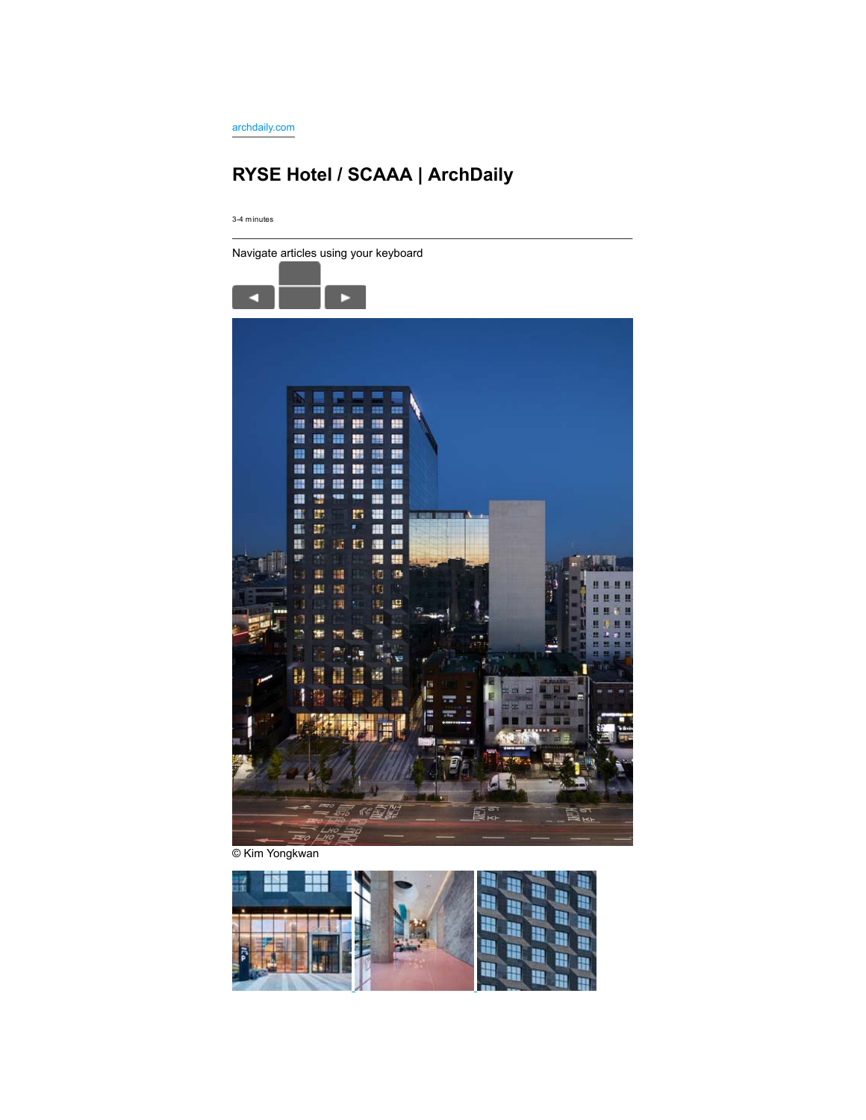archdaily.com

# **RYSE Hotel / SCAAA | ArchDaily**

3-4 minutes



© Kim Yongkwan

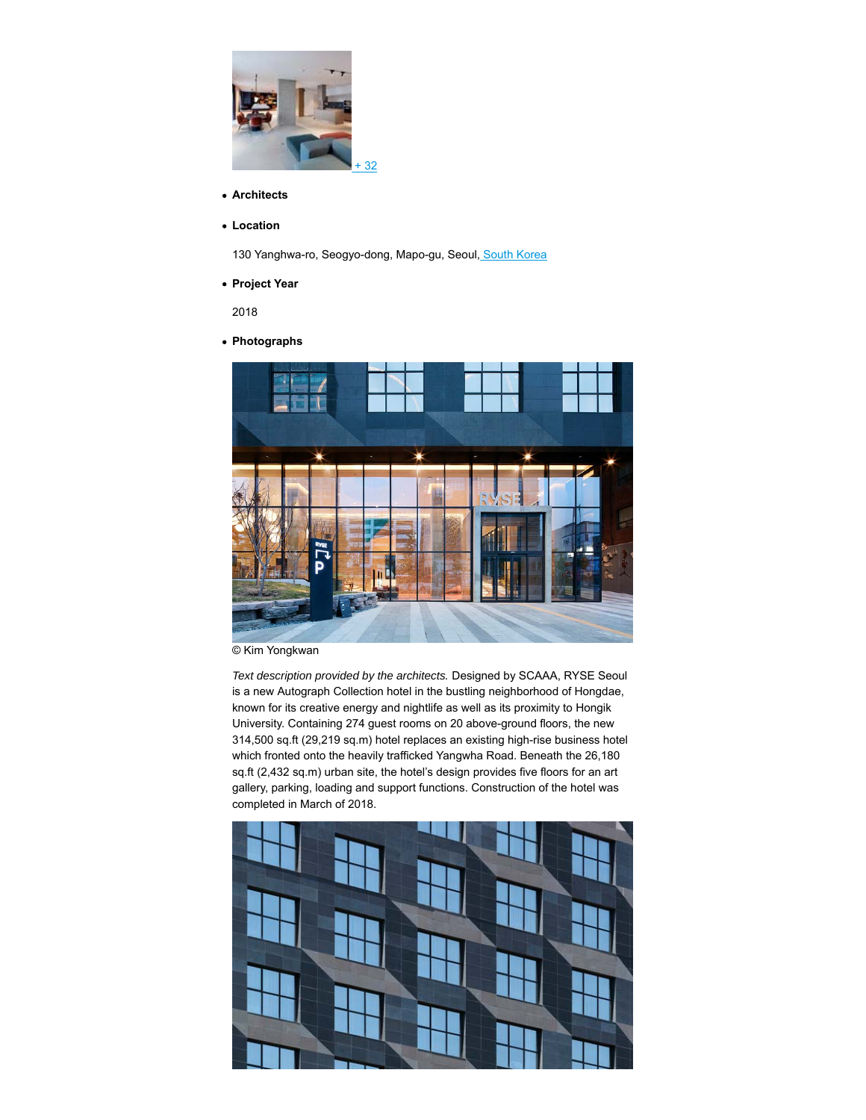

- **Architects**
- **Location**

130 Yanghwa-ro, Seogyo-dong, Mapo-gu, Seoul, South Korea

**Project Year**

2018

**Photographs**



© Kim Yongkwan

*Text description provided by the architects.* Designed by SCAAA, RYSE Seoul is a new Autograph Collection hotel in the bustling neighborhood of Hongdae, known for its creative energy and nightlife as well as its proximity to Hongik University. Containing 274 guest rooms on 20 above-ground floors, the new 314,500 sq.ft (29,219 sq.m) hotel replaces an existing high-rise business hotel which fronted onto the heavily trafficked Yangwha Road. Beneath the 26,180 sq.ft (2,432 sq.m) urban site, the hotel's design provides five floors for an art gallery, parking, loading and support functions. Construction of the hotel was completed in March of 2018.

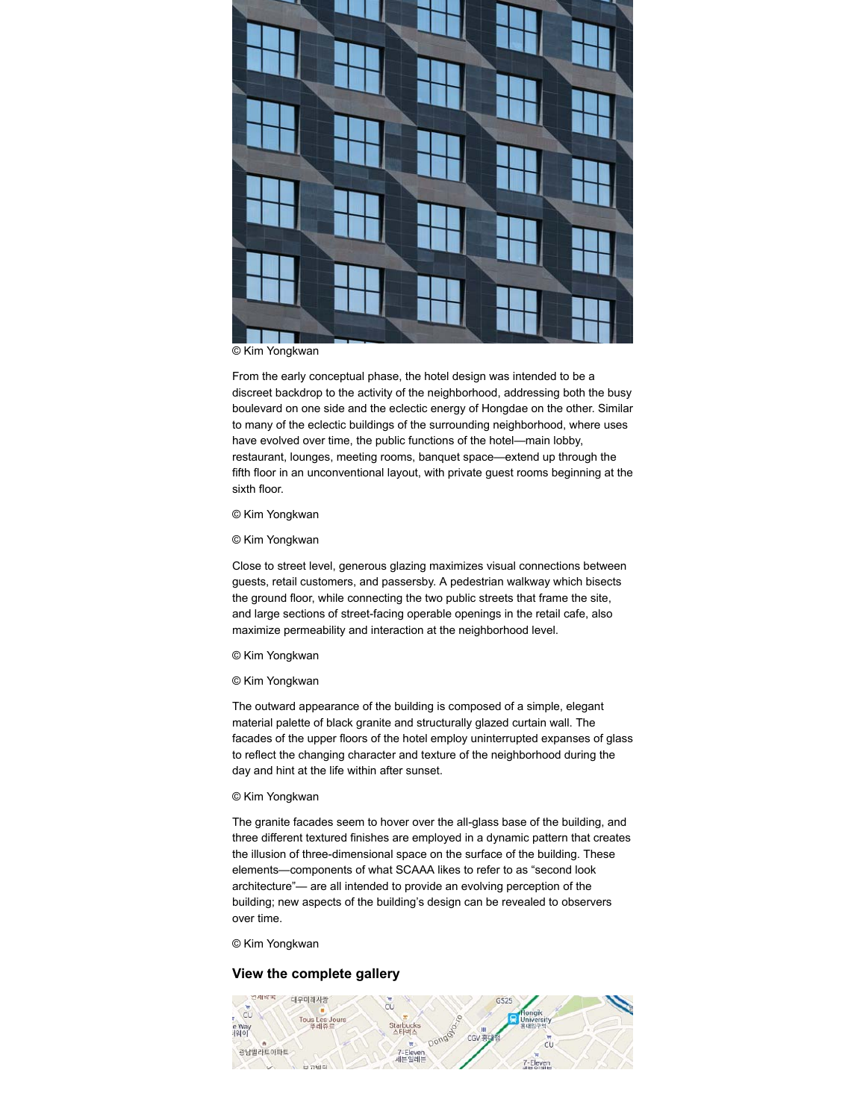

© Kim Yongkwan

From the early conceptual phase, the hotel design was intended to be a discreet backdrop to the activity of the neighborhood, addressing both the busy boulevard on one side and the eclectic energy of Hongdae on the other. Similar to many of the eclectic buildings of the surrounding neighborhood, where uses have evolved over time, the public functions of the hotel—main lobby, restaurant, lounges, meeting rooms, banquet space—extend up through the fifth floor in an unconventional layout, with private guest rooms beginning at the sixth floor.

#### © Kim Yongkwan

© Kim Yongkwan

Close to street level, generous glazing maximizes visual connections between guests, retail customers, and passersby. A pedestrian walkway which bisects the ground floor, while connecting the two public streets that frame the site, and large sections of street-facing operable openings in the retail cafe, also maximize permeability and interaction at the neighborhood level.

#### © Kim Yongkwan

#### © Kim Yongkwan

The outward appearance of the building is composed of a simple, elegant material palette of black granite and structurally glazed curtain wall. The facades of the upper floors of the hotel employ uninterrupted expanses of glass to reflect the changing character and texture of the neighborhood during the day and hint at the life within after sunset.

## © Kim Yongkwan

The granite facades seem to hover over the all-glass base of the building, and three different textured finishes are employed in a dynamic pattern that creates the illusion of three-dimensional space on the surface of the building. These elements—components of what SCAAA likes to refer to as "second look architecture"— are all intended to provide an evolving perception of the building; new aspects of the building's design can be revealed to observers over time.

© Kim Yongkwan

## **View the complete gallery**